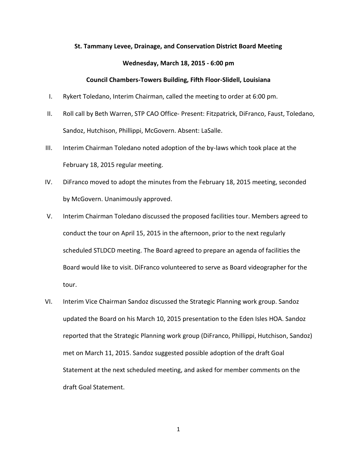## **St. Tammany Levee, Drainage, and Conservation District Board Meeting**

## **Wednesday, March 18, 2015 - 6:00 pm**

## **Council Chambers-Towers Building, Fifth Floor-Slidell, Louisiana**

- I. Rykert Toledano, Interim Chairman, called the meeting to order at 6:00 pm.
- II. Roll call by Beth Warren, STP CAO Office- Present: Fitzpatrick, DiFranco, Faust, Toledano, Sandoz, Hutchison, Phillippi, McGovern. Absent: LaSalle.
- III. Interim Chairman Toledano noted adoption of the by-laws which took place at the February 18, 2015 regular meeting.
- IV. DiFranco moved to adopt the minutes from the February 18, 2015 meeting, seconded by McGovern. Unanimously approved.
- V. Interim Chairman Toledano discussed the proposed facilities tour. Members agreed to conduct the tour on April 15, 2015 in the afternoon, prior to the next regularly scheduled STLDCD meeting. The Board agreed to prepare an agenda of facilities the Board would like to visit. DiFranco volunteered to serve as Board videographer for the tour.
- VI. Interim Vice Chairman Sandoz discussed the Strategic Planning work group. Sandoz updated the Board on his March 10, 2015 presentation to the Eden Isles HOA. Sandoz reported that the Strategic Planning work group (DiFranco, Phillippi, Hutchison, Sandoz) met on March 11, 2015. Sandoz suggested possible adoption of the draft Goal Statement at the next scheduled meeting, and asked for member comments on the draft Goal Statement.